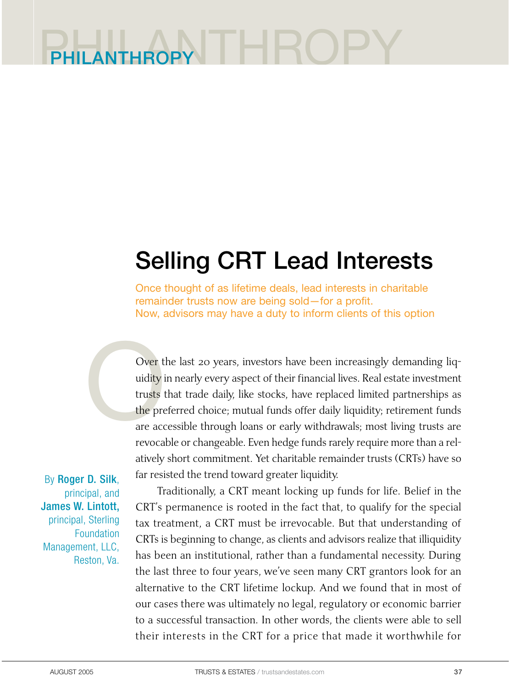## PHILANTHROPY PHILANTHROF

# Selling CRT Lead Interests

Once thought of as lifetime deals, lead interests in charitable remainder trusts now are being sold—for a profit. Now, advisors may have a duty to inform clients of this option

Over t<br>
uidity i<br>
trusts t<br>
the pre<br>
are acc Over the last 20 years, investors have been increasingly demanding liquidity in nearly every aspect of their financial lives. Real estate investment trusts that trade daily, like stocks, have replaced limited partnerships as the preferred choice; mutual funds offer daily liquidity; retirement funds are accessible through loans or early withdrawals; most living trusts are revocable or changeable. Even hedge funds rarely require more than a relatively short commitment. Yet charitable remainder trusts (CRTs) have so far resisted the trend toward greater liquidity.

By Roger D. Silk, principal, and James W. Lintott, principal, Sterling **Foundation** Management, LLC, Reston, Va.

Traditionally, a CRT meant locking up funds for life. Belief in the CRT's permanence is rooted in the fact that, to qualify for the special tax treatment, a CRT must be irrevocable. But that understanding of CRTs is beginning to change, as clients and advisors realize that illiquidity has been an institutional, rather than a fundamental necessity. During the last three to four years, we've seen many CRT grantors look for an alternative to the CRT lifetime lockup. And we found that in most of our cases there was ultimately no legal, regulatory or economic barrier to a successful transaction. In other words, the clients were able to sell their interests in the CRT for a price that made it worthwhile for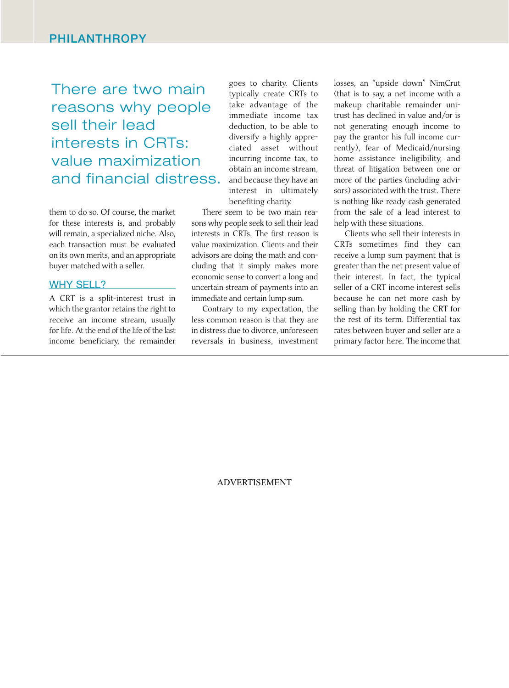There are two main reasons why people sell their lead interests in CRTs: value maximization and financial distress.

them to do so. Of course, the market for these interests is, and probably will remain, a specialized niche. Also, each transaction must be evaluated on its own merits, and an appropriate buyer matched with a seller.

#### WHY SELL?

A CRT is a split-interest trust in which the grantor retains the right to receive an income stream, usually for life. At the end of the life of the last income beneficiary, the remainder goes to charity. Clients typically create CRTs to take advantage of the immediate income tax deduction, to be able to diversify a highly appreciated asset without incurring income tax, to obtain an income stream, and because they have an interest in ultimately benefiting charity.

There seem to be two main reasons why people seek to sell their lead interests in CRTs. The first reason is value maximization. Clients and their advisors are doing the math and concluding that it simply makes more economic sense to convert a long and uncertain stream of payments into an immediate and certain lump sum.

Contrary to my expectation, the less common reason is that they are in distress due to divorce, unforeseen reversals in business, investment losses, an "upside down" NimCrut (that is to say, a net income with a makeup charitable remainder unitrust has declined in value and/or is not generating enough income to pay the grantor his full income currently), fear of Medicaid/nursing home assistance ineligibility, and threat of litigation between one or more of the parties (including advisors) associated with the trust. There is nothing like ready cash generated from the sale of a lead interest to help with these situations.

Clients who sell their interests in CRTs sometimes find they can receive a lump sum payment that is greater than the net present value of their interest. In fact, the typical seller of a CRT income interest sells because he can net more cash by selling than by holding the CRT for the rest of its term. Differential tax rates between buyer and seller are a primary factor here. The income that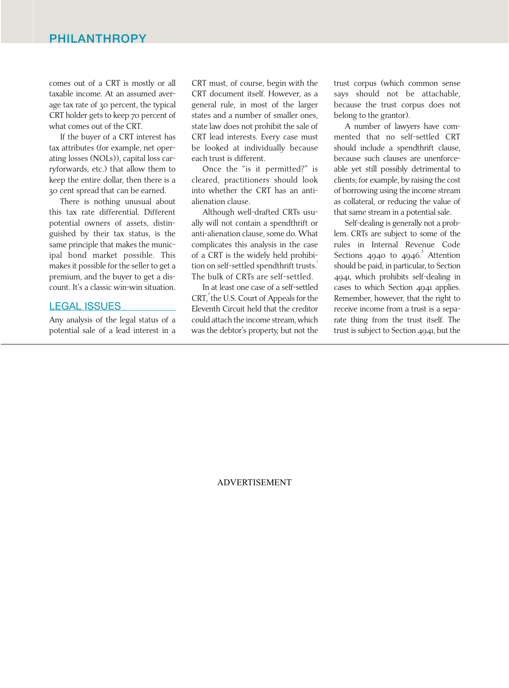comes out of a CRT is mostly or all taxable income. At an assumed average tax rate of 30 percent, the typical CRT holder gets to keep 70 percent of what comes out of the CRT.

If the buyer of a CRT interest has tax attributes (for example, net operating losses (NOLs)), capital loss carryforwards, etc.) that allow them to keep the entire dollar, then there is a 30 cent spread that can be earned.

There is nothing unusual about this tax rate differential. Different potential owners of assets, distinguished by their tax status, is the same principle that makes the municipal bond market possible. This makes it possible for the seller to get a premium, and the buyer to get a discount. It's a classic win-win situation.

#### LEGAL ISSUES

Any analysis of the legal status of a potential sale of a lead interest in a CRT must, of course, begin with the CRT document itself. However, as a general rule, in most of the larger states and a number of smaller ones, state law does not prohibit the sale of CRT lead interests. Every case must be looked at individually because each trust is different.

Once the "is it permitted?" is cleared, practitioners should look into whether the CRT has an antialienation clause.

Although well-drafted CRTs usually will not contain a spendthrift or anti-alienation clause, some do. What complicates this analysis in the case of a CRT is the widely held prohibition on self-settled spendthrift trusts.<sup>1</sup> The bulk of CRTs are self-settled.

In at least one case of a self-settled CRT, the U.S. Court of Appeals for the Eleventh Circuit held that the creditor could attach the income stream, which was the debtor's property, but not the trust corpus (which common sense says should not be attachable, because the trust corpus does not belong to the grantor).

A number of lawyers have commented that no self-settled CRT should include a spendthrift clause, because such clauses are unenforceable yet still possibly detrimental to clients; for example, by raising the cost of borrowing using the income stream as collateral, or reducing the value of that same stream in a potential sale.

Self-dealing is generally not a problem. CRTs are subject to some of the rules in Internal Revenue Code Sections 4940 to 4946.<sup>3</sup> Attention should be paid, in particular, to Section 4941, which prohibits self-dealing in cases to which Section 4941 applies. Remember, however, that the right to receive income from a trust is a separate thing from the trust itself. The trust is subject to Section 4941, but the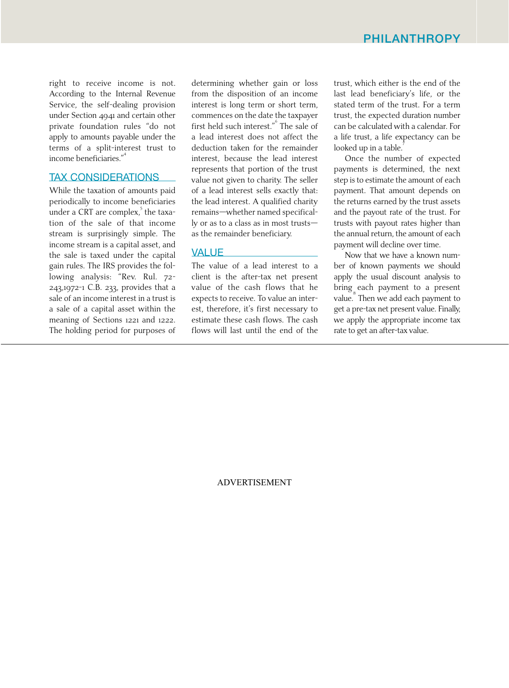right to receive income is not. According to the Internal Revenue Service, the self-dealing provision under Section 4941 and certain other private foundation rules "do not apply to amounts payable under the terms of a split-interest trust to income beneficiaries."

### TAX CONSIDERATIONS

While the taxation of amounts paid periodically to income beneficiaries under a CRT are complex, $\overline{\phantom{a}}^5$  the taxation of the sale of that income stream is surprisingly simple. The income stream is a capital asset, and the sale is taxed under the capital gain rules. The IRS provides the following analysis: "Rev. Rul. 72- 243,1972-1 C.B. 233, provides that a sale of an income interest in a trust is a sale of a capital asset within the meaning of Sections 1221 and 1222. The holding period for purposes of determining whether gain or loss from the disposition of an income interest is long term or short term, commences on the date the taxpayer first held such interest." The sale of a lead interest does not affect the deduction taken for the remainder interest, because the lead interest represents that portion of the trust value not given to charity. The seller of a lead interest sells exactly that: the lead interest. A qualified charity remains—whether named specifically or as to a class as in most trusts as the remainder beneficiary.

#### **VALUE**

The value of a lead interest to a client is the after-tax net present value of the cash flows that he expects to receive. To value an interest, therefore, it's first necessary to estimate these cash flows. The cash flows will last until the end of the

trust, which either is the end of the last lead beneficiary's life, or the stated term of the trust. For a term trust, the expected duration number can be calculated with a calendar. For a life trust, a life expectancy can be looked up in a table.

Once the number of expected payments is determined, the next step is to estimate the amount of each payment. That amount depends on the returns earned by the trust assets and the payout rate of the trust. For trusts with payout rates higher than the annual return, the amount of each payment will decline over time.

Now that we have a known number of known payments we should apply the usual discount analysis to bring each payment to a present value. Then we add each payment to get a pre-tax net present value. Finally, we apply the appropriate income tax rate to get an after-tax value.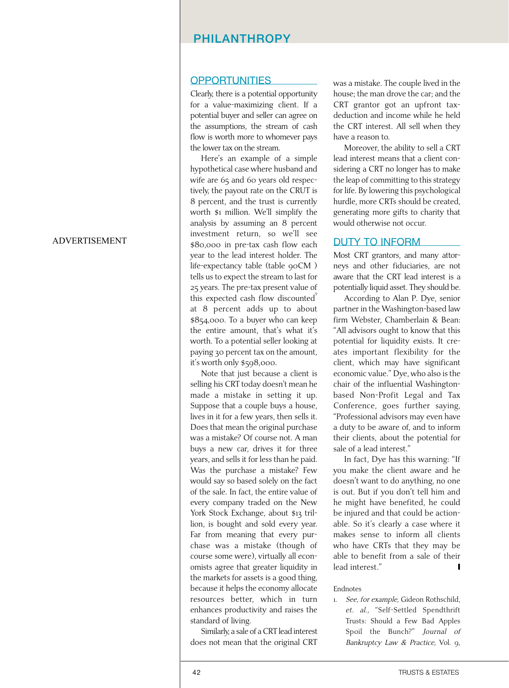#### PHILANTHROPY

#### **OPPORTUNITIES**

Clearly, there is a potential opportunity for a value-maximizing client. If a potential buyer and seller can agree on the assumptions, the stream of cash flow is worth more to whomever pays the lower tax on the stream.

Here's an example of a simple hypothetical case where husband and wife are 65 and 60 years old respectively, the payout rate on the CRUT is 8 percent, and the trust is currently worth \$1 million. We'll simplify the analysis by assuming an 8 percent investment return, so we'll see \$80,000 in pre-tax cash flow each year to the lead interest holder. The life-expectancy table (table 90CM) tells us to expect the stream to last for 25 years. The pre-tax present value of this expected cash flow discounted $\delta$ at 8 percent adds up to about \$854,000. To a buyer who can keep the entire amount, that's what it's worth. To a potential seller looking at paying 30 percent tax on the amount, it's worth only \$598,000.

Note that just because a client is selling his CRT today doesn't mean he made a mistake in setting it up. Suppose that a couple buys a house, lives in it for a few years, then sells it. Does that mean the original purchase was a mistake? Of course not. A man buys a new car, drives it for three years, and sells it for less than he paid. Was the purchase a mistake? Few would say so based solely on the fact of the sale. In fact, the entire value of every company traded on the New York Stock Exchange, about \$13 trillion, is bought and sold every year. Far from meaning that every purchase was a mistake (though of course some were), virtually all economists agree that greater liquidity in the markets for assets is a good thing, because it helps the economy allocate resources better, which in turn enhances productivity and raises the standard of living.

Similarly, a sale of a CRT lead interest does not mean that the original CRT was a mistake. The couple lived in the house; the man drove the car; and the CRT grantor got an upfront taxdeduction and income while he held the CRT interest. All sell when they have a reason to.

Moreover, the ability to sell a CRT lead interest means that a client considering a CRT no longer has to make the leap of committing to this strategy for life. By lowering this psychological hurdle, more CRTs should be created, generating more gifts to charity that would otherwise not occur.

#### DUTY TO INFORM

Most CRT grantors, and many attorneys and other fiduciaries, are not aware that the CRT lead interest is a potentially liquid asset. They should be.

According to Alan P. Dye, senior partner in the Washington-based law firm Webster, Chamberlain & Bean: "All advisors ought to know that this potential for liquidity exists. It creates important flexibility for the client, which may have significant economic value." Dye, who also is the chair of the influential Washingtonbased Non-Profit Legal and Tax Conference, goes further saying, "Professional advisors may even have a duty to be aware of, and to inform their clients, about the potential for sale of a lead interest."

In fact, Dye has this warning: "If you make the client aware and he doesn't want to do anything, no one is out. But if you don't tell him and he might have benefited, he could be injured and that could be actionable. So it's clearly a case where it makes sense to inform all clients who have CRTs that they may be able to benefit from a sale of their lead interest."

#### Endnotes

1. See, for example, Gideon Rothschild, et. al., "Self-Settled Spendthrift Trusts: Should a Few Bad Apples Spoil the Bunch?" Journal of Bankruptcy Law & Practice, Vol. 9,

#### 42 TRUSTS & ESTATES